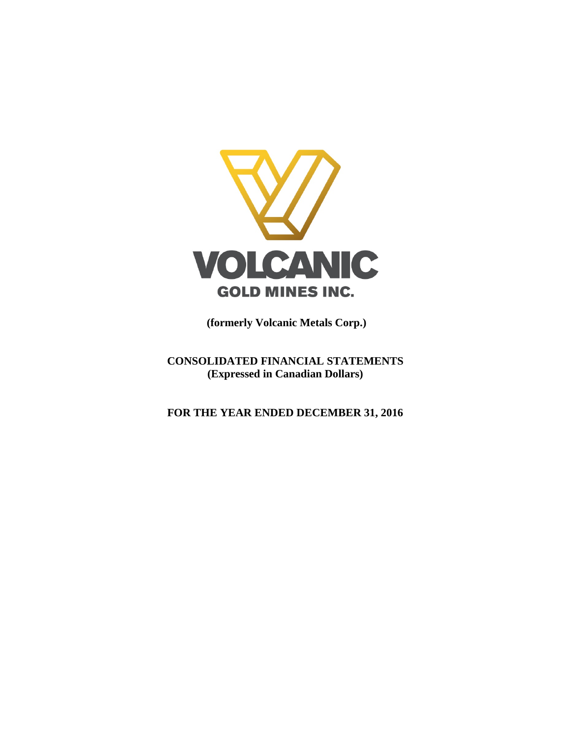

**(formerly Volcanic Metals Corp.)**

**CONSOLIDATED FINANCIAL STATEMENTS (Expressed in Canadian Dollars)**

**FOR THE YEAR ENDED DECEMBER 31, 2016**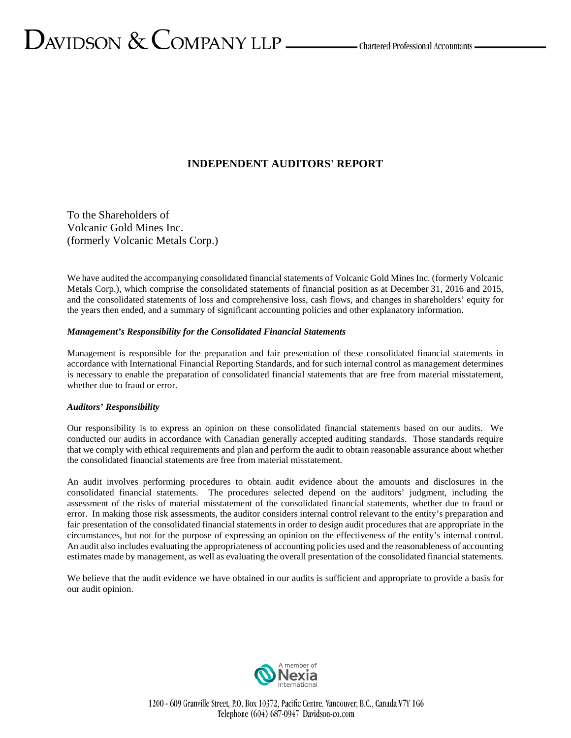# **INDEPENDENT AUDITORS' REPORT**

To the Shareholders of Volcanic Gold Mines Inc. (formerly Volcanic Metals Corp.)

We have audited the accompanying consolidated financial statements of Volcanic Gold Mines Inc. (formerly Volcanic Metals Corp.), which comprise the consolidated statements of financial position as at December 31, 2016 and 2015, and the consolidated statements of loss and comprehensive loss, cash flows, and changes in shareholders' equity for the years then ended, and a summary of significant accounting policies and other explanatory information.

### *Management's Responsibility for the Consolidated Financial Statements*

Management is responsible for the preparation and fair presentation of these consolidated financial statements in accordance with International Financial Reporting Standards, and for such internal control as management determines is necessary to enable the preparation of consolidated financial statements that are free from material misstatement, whether due to fraud or error.

### *Auditors' Responsibility*

Our responsibility is to express an opinion on these consolidated financial statements based on our audits. We conducted our audits in accordance with Canadian generally accepted auditing standards. Those standards require that we comply with ethical requirements and plan and perform the audit to obtain reasonable assurance about whether the consolidated financial statements are free from material misstatement.

An audit involves performing procedures to obtain audit evidence about the amounts and disclosures in the consolidated financial statements. The procedures selected depend on the auditors' judgment, including the assessment of the risks of material misstatement of the consolidated financial statements, whether due to fraud or error. In making those risk assessments, the auditor considers internal control relevant to the entity's preparation and fair presentation of the consolidated financial statements in order to design audit procedures that are appropriate in the circumstances, but not for the purpose of expressing an opinion on the effectiveness of the entity's internal control. An audit also includes evaluating the appropriateness of accounting policies used and the reasonableness of accounting estimates made by management, as well as evaluating the overall presentation of the consolidated financial statements.

We believe that the audit evidence we have obtained in our audits is sufficient and appropriate to provide a basis for our audit opinion.



1200 - 609 Granville Street, P.O. Box 10372, Pacific Centre, Vancouver, B.C., Canada V7Y 1G6 Telephone (604) 687-0947 Davidson-co.com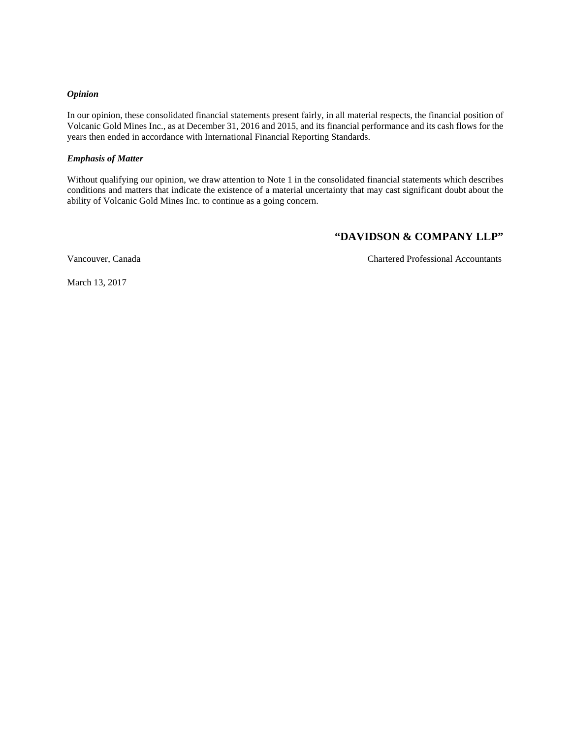### *Opinion*

In our opinion, these consolidated financial statements present fairly, in all material respects, the financial position of Volcanic Gold Mines Inc., as at December 31, 2016 and 2015, and its financial performance and its cash flows for the years then ended in accordance with International Financial Reporting Standards.

## *Emphasis of Matter*

Without qualifying our opinion, we draw attention to Note 1 in the consolidated financial statements which describes conditions and matters that indicate the existence of a material uncertainty that may cast significant doubt about the ability of Volcanic Gold Mines Inc. to continue as a going concern.

# **"DAVIDSON & COMPANY LLP"**

Vancouver, Canada Chartered Professional Accountants

March 13, 2017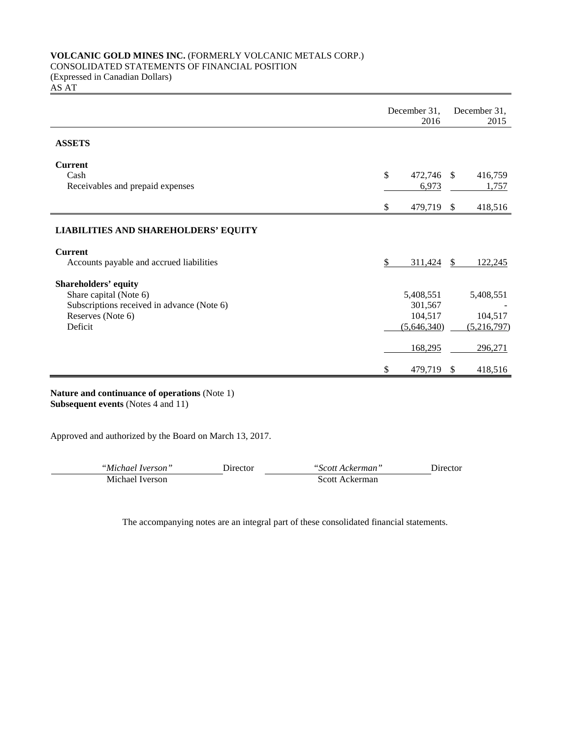# **VOLCANIC GOLD MINES INC.** (FORMERLY VOLCANIC METALS CORP.)

# CONSOLIDATED STATEMENTS OF FINANCIAL POSITION

(Expressed in Canadian Dollars)

AS AT

|                                                                 |              | December 31,<br>2016 |               | December 31,<br>2015 |
|-----------------------------------------------------------------|--------------|----------------------|---------------|----------------------|
| <b>ASSETS</b>                                                   |              |                      |               |                      |
| <b>Current</b>                                                  |              |                      |               |                      |
| Cash<br>Receivables and prepaid expenses                        | $\mathbb{S}$ | 472,746<br>6,973     | <sup>\$</sup> | 416,759<br>1,757     |
|                                                                 | \$           | 479,719 \$           |               | 418,516              |
| <b>LIABILITIES AND SHAREHOLDERS' EQUITY</b>                     |              |                      |               |                      |
| <b>Current</b><br>Accounts payable and accrued liabilities      | \$           | 311,424              | <sup>S</sup>  | 122,245              |
| <b>Shareholders' equity</b><br>Share capital (Note 6)           |              | 5,408,551            |               | 5,408,551            |
| Subscriptions received in advance (Note 6)<br>Reserves (Note 6) |              | 301,567<br>104,517   |               | 104,517              |
| Deficit                                                         |              | (5,646,340)          |               | (5,216,797)          |
|                                                                 |              | 168,295              |               | 296,271              |
|                                                                 | \$           | 479,719              | <sup>\$</sup> | 418,516              |

**Nature and continuance of operations** (Note 1) **Subsequent events** (Notes 4 and 11)

Approved and authorized by the Board on March 13, 2017.

| "Michael Iverson" | Director_ | "Scott Ackerman" | Jirector |
|-------------------|-----------|------------------|----------|
| Michael Iverson   |           | Scott Ackerman   |          |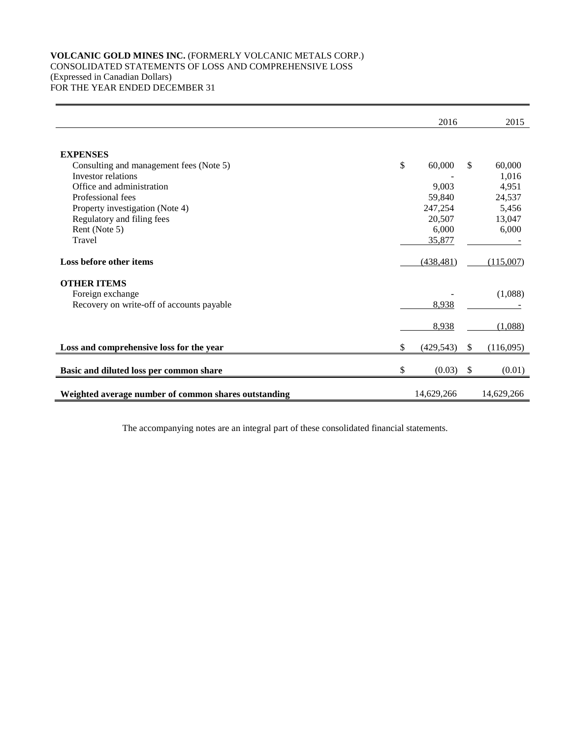# **VOLCANIC GOLD MINES INC.** (FORMERLY VOLCANIC METALS CORP.) CONSOLIDATED STATEMENTS OF LOSS AND COMPREHENSIVE LOSS (Expressed in Canadian Dollars) FOR THE YEAR ENDED DECEMBER 31

|                                                      | 2016             |     | 2015       |
|------------------------------------------------------|------------------|-----|------------|
|                                                      |                  |     |            |
| <b>EXPENSES</b>                                      |                  |     |            |
| Consulting and management fees (Note 5)              | \$<br>60,000     | \$. | 60,000     |
| Investor relations                                   |                  |     | 1,016      |
| Office and administration                            | 9,003            |     | 4,951      |
| Professional fees                                    | 59,840           |     | 24,537     |
| Property investigation (Note 4)                      | 247,254          |     | 5,456      |
| Regulatory and filing fees                           | 20,507           |     | 13,047     |
| Rent (Note 5)                                        | 6,000            |     | 6,000      |
| Travel                                               | 35,877           |     |            |
|                                                      |                  |     |            |
| Loss before other items                              | (438, 481)       |     | (115,007)  |
| <b>OTHER ITEMS</b>                                   |                  |     |            |
| Foreign exchange                                     |                  |     | (1,088)    |
| Recovery on write-off of accounts payable            | 8,938            |     |            |
|                                                      |                  |     |            |
|                                                      | 8,938            |     | (1,088)    |
| Loss and comprehensive loss for the year             | \$<br>(429, 543) | \$  | (116,095)  |
|                                                      |                  |     |            |
| Basic and diluted loss per common share              | \$<br>(0.03)     | \$  | (0.01)     |
|                                                      |                  |     |            |
| Weighted average number of common shares outstanding | 14,629,266       |     | 14,629,266 |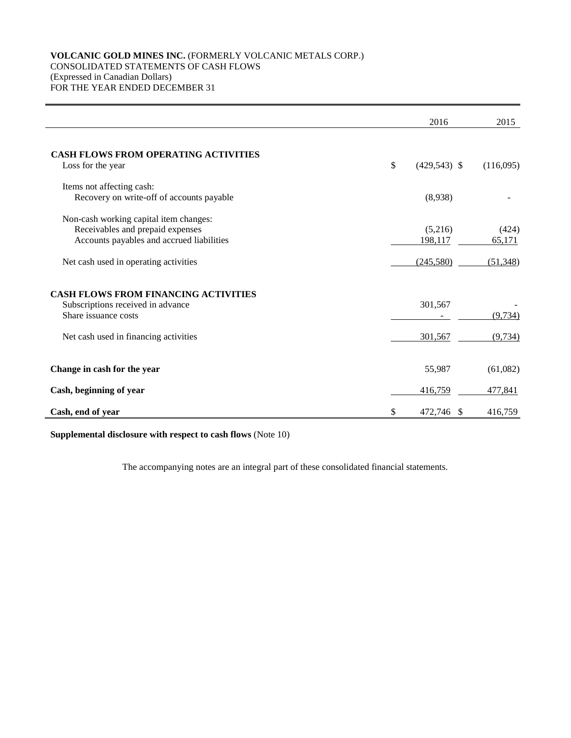# **VOLCANIC GOLD MINES INC.** (FORMERLY VOLCANIC METALS CORP.) CONSOLIDATED STATEMENTS OF CASH FLOWS (Expressed in Canadian Dollars) FOR THE YEAR ENDED DECEMBER 31

|                                                                                                                                                   | 2016                 | 2015                 |
|---------------------------------------------------------------------------------------------------------------------------------------------------|----------------------|----------------------|
| <b>CASH FLOWS FROM OPERATING ACTIVITIES</b><br>Loss for the year                                                                                  | \$<br>$(429,543)$ \$ | (116,095)            |
| Items not affecting cash:<br>Recovery on write-off of accounts payable                                                                            | (8,938)              |                      |
| Non-cash working capital item changes:<br>Receivables and prepaid expenses<br>Accounts payables and accrued liabilities                           | (5,216)<br>198,117   | (424)<br>65,171      |
| Net cash used in operating activities                                                                                                             | (245,580)            | (51, 348)            |
| <b>CASH FLOWS FROM FINANCING ACTIVITIES</b><br>Subscriptions received in advance<br>Share issuance costs<br>Net cash used in financing activities | 301,567<br>301,567   | (9, 734)<br>(9, 734) |
| Change in cash for the year                                                                                                                       | 55,987               | (61,082)             |
| Cash, beginning of year                                                                                                                           | 416,759              | 477,841              |
| Cash, end of year                                                                                                                                 | \$<br>472,746 \$     | 416,759              |

**Supplemental disclosure with respect to cash flows** (Note 10)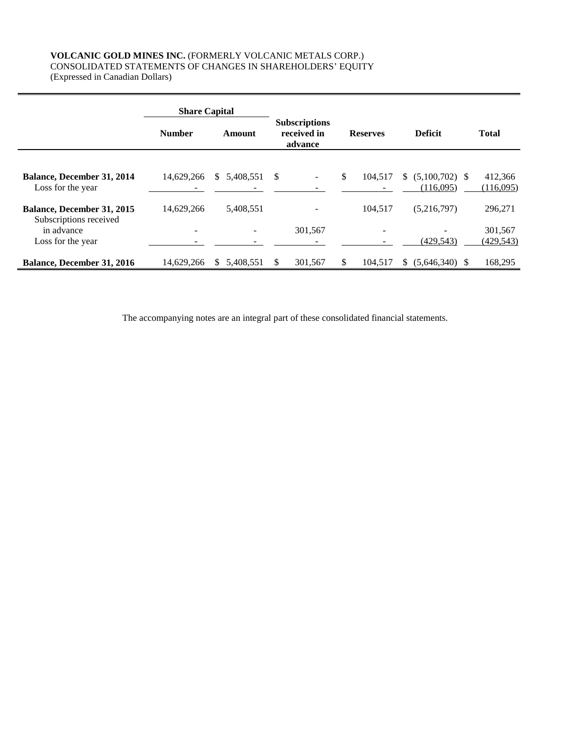# **VOLCANIC GOLD MINES INC.** (FORMERLY VOLCANIC METALS CORP.) CONSOLIDATED STATEMENTS OF CHANGES IN SHAREHOLDERS' EQUITY (Expressed in Canadian Dollars)

|                                                             | <b>Share Capital</b> |                 |                                                |                          |                                     |                       |
|-------------------------------------------------------------|----------------------|-----------------|------------------------------------------------|--------------------------|-------------------------------------|-----------------------|
|                                                             | <b>Number</b>        | Amount          | <b>Subscriptions</b><br>received in<br>advance | <b>Reserves</b>          | <b>Deficit</b>                      | <b>Total</b>          |
| <b>Balance, December 31, 2014</b><br>Loss for the year      | 14,629,266           | \$ 5.408,551    | -S                                             | \$<br>104.517            | $(5,100,702)$ \$<br>S.<br>(116,095) | 412,366<br>(116,095)  |
| <b>Balance, December 31, 2015</b><br>Subscriptions received | 14,629,266           | 5,408,551       |                                                | 104.517                  | (5,216,797)                         | 296,271               |
| in advance<br>Loss for the year                             |                      |                 | 301,567                                        | $\overline{\phantom{0}}$ | (429, 543)                          | 301,567<br>(429, 543) |
| <b>Balance, December 31, 2016</b>                           | 14.629.266           | 5.408.551<br>S. | 301,567<br>\$.                                 | \$<br>104.517            | $(5.646.340)$ \$<br>\$.             | 168,295               |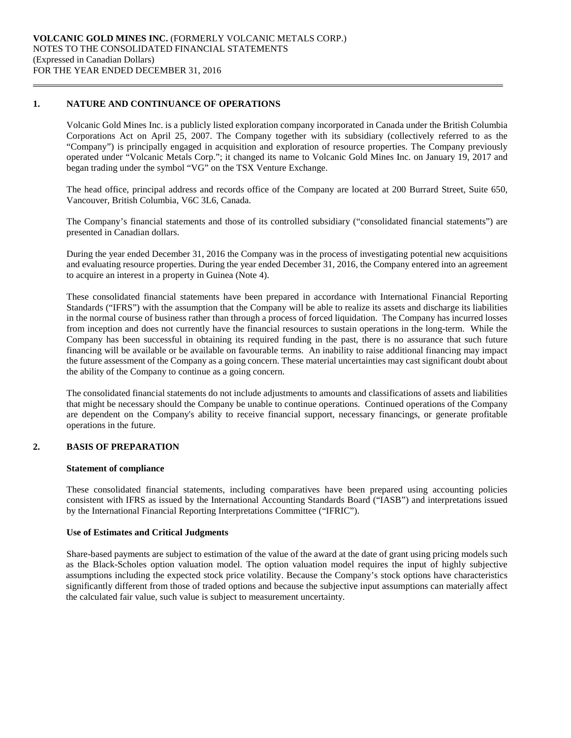### **1. NATURE AND CONTINUANCE OF OPERATIONS**

Volcanic Gold Mines Inc. is a publicly listed exploration company incorporated in Canada under the British Columbia Corporations Act on April 25, 2007. The Company together with its subsidiary (collectively referred to as the "Company") is principally engaged in acquisition and exploration of resource properties. The Company previously operated under "Volcanic Metals Corp."; it changed its name to Volcanic Gold Mines Inc. on January 19, 2017 and began trading under the symbol "VG" on the TSX Venture Exchange.

The head office, principal address and records office of the Company are located at 200 Burrard Street, Suite 650, Vancouver, British Columbia, V6C 3L6, Canada.

The Company's financial statements and those of its controlled subsidiary ("consolidated financial statements") are presented in Canadian dollars.

During the year ended December 31, 2016 the Company was in the process of investigating potential new acquisitions and evaluating resource properties. During the year ended December 31, 2016, the Company entered into an agreement to acquire an interest in a property in Guinea (Note 4).

These consolidated financial statements have been prepared in accordance with International Financial Reporting Standards ("IFRS") with the assumption that the Company will be able to realize its assets and discharge its liabilities in the normal course of business rather than through a process of forced liquidation. The Company has incurred losses from inception and does not currently have the financial resources to sustain operations in the long-term. While the Company has been successful in obtaining its required funding in the past, there is no assurance that such future financing will be available or be available on favourable terms. An inability to raise additional financing may impact the future assessment of the Company as a going concern. These material uncertainties may cast significant doubt about the ability of the Company to continue as a going concern.

The consolidated financial statements do not include adjustments to amounts and classifications of assets and liabilities that might be necessary should the Company be unable to continue operations. Continued operations of the Company are dependent on the Company's ability to receive financial support, necessary financings, or generate profitable operations in the future.

## **2. BASIS OF PREPARATION**

### **Statement of compliance**

These consolidated financial statements, including comparatives have been prepared using accounting policies consistent with IFRS as issued by the International Accounting Standards Board ("IASB") and interpretations issued by the International Financial Reporting Interpretations Committee ("IFRIC").

### **Use of Estimates and Critical Judgments**

Share-based payments are subject to estimation of the value of the award at the date of grant using pricing models such as the Black-Scholes option valuation model. The option valuation model requires the input of highly subjective assumptions including the expected stock price volatility. Because the Company's stock options have characteristics significantly different from those of traded options and because the subjective input assumptions can materially affect the calculated fair value, such value is subject to measurement uncertainty.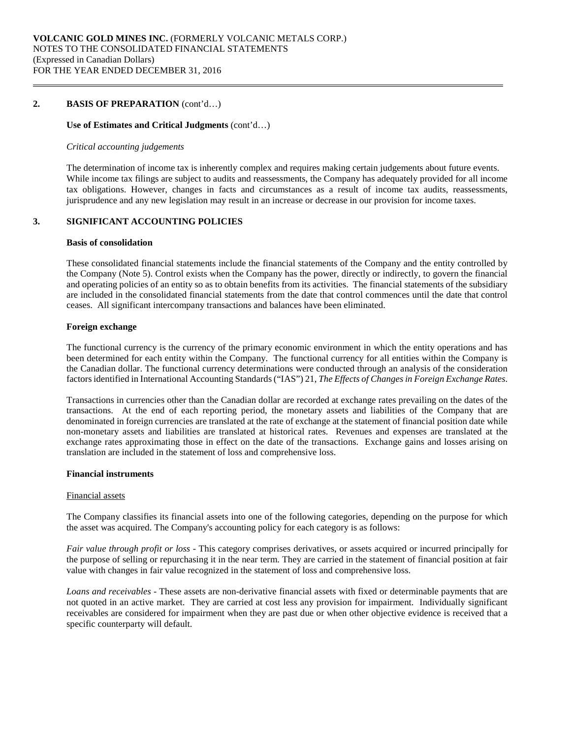### **2. BASIS OF PREPARATION** (cont'd…)

### **Use of Estimates and Critical Judgments** (cont'd…)

### *Critical accounting judgements*

The determination of income tax is inherently complex and requires making certain judgements about future events. While income tax filings are subject to audits and reassessments, the Company has adequately provided for all income tax obligations. However, changes in facts and circumstances as a result of income tax audits, reassessments, jurisprudence and any new legislation may result in an increase or decrease in our provision for income taxes.

# **3. SIGNIFICANT ACCOUNTING POLICIES**

#### **Basis of consolidation**

These consolidated financial statements include the financial statements of the Company and the entity controlled by the Company (Note 5). Control exists when the Company has the power, directly or indirectly, to govern the financial and operating policies of an entity so as to obtain benefits from its activities. The financial statements of the subsidiary are included in the consolidated financial statements from the date that control commences until the date that control ceases. All significant intercompany transactions and balances have been eliminated.

#### **Foreign exchange**

The functional currency is the currency of the primary economic environment in which the entity operations and has been determined for each entity within the Company. The functional currency for all entities within the Company is the Canadian dollar. The functional currency determinations were conducted through an analysis of the consideration factors identified in International Accounting Standards ("IAS") 21, *The Effects of Changes in Foreign Exchange Rates*.

Transactions in currencies other than the Canadian dollar are recorded at exchange rates prevailing on the dates of the transactions. At the end of each reporting period, the monetary assets and liabilities of the Company that are denominated in foreign currencies are translated at the rate of exchange at the statement of financial position date while non-monetary assets and liabilities are translated at historical rates. Revenues and expenses are translated at the exchange rates approximating those in effect on the date of the transactions. Exchange gains and losses arising on translation are included in the statement of loss and comprehensive loss.

### **Financial instruments**

#### Financial assets

The Company classifies its financial assets into one of the following categories, depending on the purpose for which the asset was acquired. The Company's accounting policy for each category is as follows:

*Fair value through profit or loss -* This category comprises derivatives, or assets acquired or incurred principally for the purpose of selling or repurchasing it in the near term. They are carried in the statement of financial position at fair value with changes in fair value recognized in the statement of loss and comprehensive loss.

*Loans and receivables -* These assets are non-derivative financial assets with fixed or determinable payments that are not quoted in an active market. They are carried at cost less any provision for impairment. Individually significant receivables are considered for impairment when they are past due or when other objective evidence is received that a specific counterparty will default.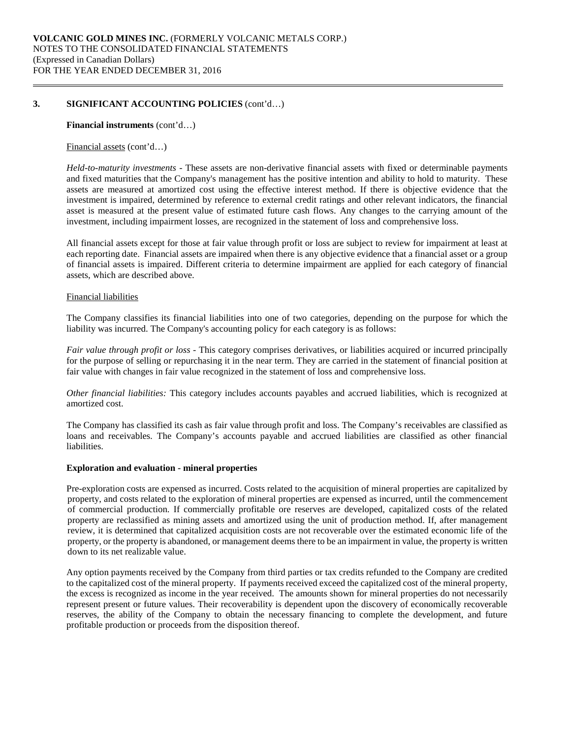### **3. SIGNIFICANT ACCOUNTING POLICIES** (cont'd…)

#### **Financial instruments** (cont'd…)

#### Financial assets (cont'd…)

*Held-to-maturity investments* - These assets are non-derivative financial assets with fixed or determinable payments and fixed maturities that the Company's management has the positive intention and ability to hold to maturity. These assets are measured at amortized cost using the effective interest method. If there is objective evidence that the investment is impaired, determined by reference to external credit ratings and other relevant indicators, the financial asset is measured at the present value of estimated future cash flows. Any changes to the carrying amount of the investment, including impairment losses, are recognized in the statement of loss and comprehensive loss.

All financial assets except for those at fair value through profit or loss are subject to review for impairment at least at each reporting date. Financial assets are impaired when there is any objective evidence that a financial asset or a group of financial assets is impaired. Different criteria to determine impairment are applied for each category of financial assets, which are described above.

#### Financial liabilities

The Company classifies its financial liabilities into one of two categories, depending on the purpose for which the liability was incurred. The Company's accounting policy for each category is as follows:

*Fair value through profit or loss* - This category comprises derivatives, or liabilities acquired or incurred principally for the purpose of selling or repurchasing it in the near term. They are carried in the statement of financial position at fair value with changes in fair value recognized in the statement of loss and comprehensive loss.

*Other financial liabilities:* This category includes accounts payables and accrued liabilities, which is recognized at amortized cost.

The Company has classified its cash as fair value through profit and loss. The Company's receivables are classified as loans and receivables. The Company's accounts payable and accrued liabilities are classified as other financial liabilities.

#### **Exploration and evaluation - mineral properties**

Pre-exploration costs are expensed as incurred. Costs related to the acquisition of mineral properties are capitalized by property, and costs related to the exploration of mineral properties are expensed as incurred, until the commencement of commercial production. If commercially profitable ore reserves are developed, capitalized costs of the related property are reclassified as mining assets and amortized using the unit of production method. If, after management review, it is determined that capitalized acquisition costs are not recoverable over the estimated economic life of the property, or the property is abandoned, or management deems there to be an impairment in value, the property is written down to its net realizable value.

Any option payments received by the Company from third parties or tax credits refunded to the Company are credited to the capitalized cost of the mineral property. If payments received exceed the capitalized cost of the mineral property, the excess is recognized as income in the year received. The amounts shown for mineral properties do not necessarily represent present or future values. Their recoverability is dependent upon the discovery of economically recoverable reserves, the ability of the Company to obtain the necessary financing to complete the development, and future profitable production or proceeds from the disposition thereof.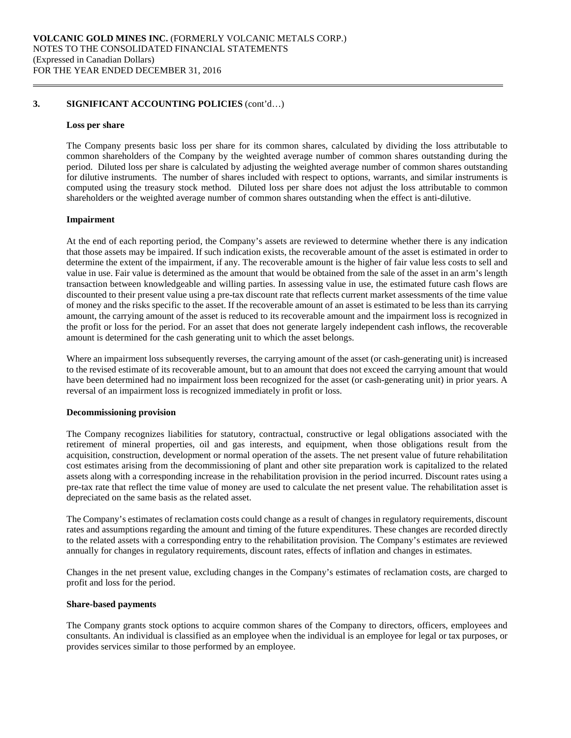### **3. SIGNIFICANT ACCOUNTING POLICIES** (cont'd…)

#### **Loss per share**

The Company presents basic loss per share for its common shares, calculated by dividing the loss attributable to common shareholders of the Company by the weighted average number of common shares outstanding during the period. Diluted loss per share is calculated by adjusting the weighted average number of common shares outstanding for dilutive instruments. The number of shares included with respect to options, warrants, and similar instruments is computed using the treasury stock method. Diluted loss per share does not adjust the loss attributable to common shareholders or the weighted average number of common shares outstanding when the effect is anti-dilutive.

### **Impairment**

At the end of each reporting period, the Company's assets are reviewed to determine whether there is any indication that those assets may be impaired. If such indication exists, the recoverable amount of the asset is estimated in order to determine the extent of the impairment, if any. The recoverable amount is the higher of fair value less costs to sell and value in use. Fair value is determined as the amount that would be obtained from the sale of the asset in an arm's length transaction between knowledgeable and willing parties. In assessing value in use, the estimated future cash flows are discounted to their present value using a pre-tax discount rate that reflects current market assessments of the time value of money and the risks specific to the asset. If the recoverable amount of an asset is estimated to be less than its carrying amount, the carrying amount of the asset is reduced to its recoverable amount and the impairment loss is recognized in the profit or loss for the period. For an asset that does not generate largely independent cash inflows, the recoverable amount is determined for the cash generating unit to which the asset belongs.

Where an impairment loss subsequently reverses, the carrying amount of the asset (or cash-generating unit) is increased to the revised estimate of its recoverable amount, but to an amount that does not exceed the carrying amount that would have been determined had no impairment loss been recognized for the asset (or cash-generating unit) in prior years. A reversal of an impairment loss is recognized immediately in profit or loss.

### **Decommissioning provision**

The Company recognizes liabilities for statutory, contractual, constructive or legal obligations associated with the retirement of mineral properties, oil and gas interests, and equipment, when those obligations result from the acquisition, construction, development or normal operation of the assets. The net present value of future rehabilitation cost estimates arising from the decommissioning of plant and other site preparation work is capitalized to the related assets along with a corresponding increase in the rehabilitation provision in the period incurred. Discount rates using a pre-tax rate that reflect the time value of money are used to calculate the net present value. The rehabilitation asset is depreciated on the same basis as the related asset.

The Company's estimates of reclamation costs could change as a result of changes in regulatory requirements, discount rates and assumptions regarding the amount and timing of the future expenditures. These changes are recorded directly to the related assets with a corresponding entry to the rehabilitation provision. The Company's estimates are reviewed annually for changes in regulatory requirements, discount rates, effects of inflation and changes in estimates.

Changes in the net present value, excluding changes in the Company's estimates of reclamation costs, are charged to profit and loss for the period.

### **Share-based payments**

The Company grants stock options to acquire common shares of the Company to directors, officers, employees and consultants. An individual is classified as an employee when the individual is an employee for legal or tax purposes, or provides services similar to those performed by an employee.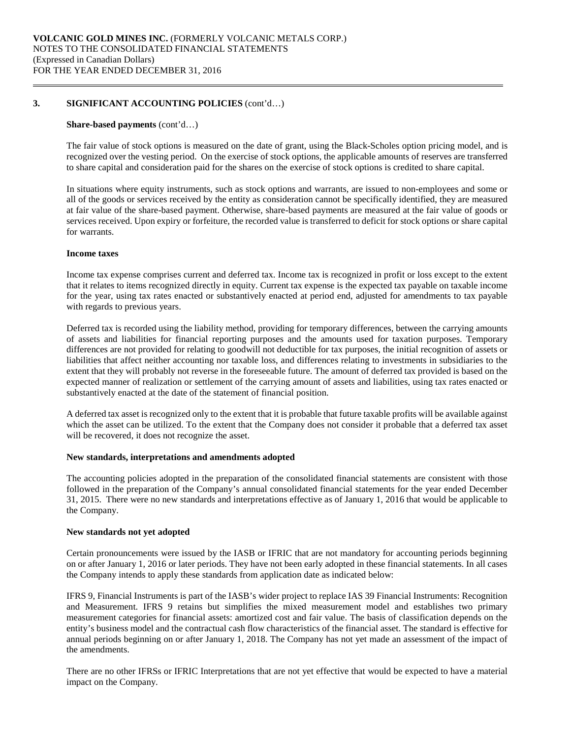## **3. SIGNIFICANT ACCOUNTING POLICIES** (cont'd…)

#### **Share-based payments** (cont'd…)

The fair value of stock options is measured on the date of grant, using the Black-Scholes option pricing model, and is recognized over the vesting period. On the exercise of stock options, the applicable amounts of reserves are transferred to share capital and consideration paid for the shares on the exercise of stock options is credited to share capital.

In situations where equity instruments, such as stock options and warrants, are issued to non-employees and some or all of the goods or services received by the entity as consideration cannot be specifically identified, they are measured at fair value of the share-based payment. Otherwise, share-based payments are measured at the fair value of goods or services received. Upon expiry or forfeiture, the recorded value is transferred to deficit for stock options or share capital for warrants.

### **Income taxes**

Income tax expense comprises current and deferred tax. Income tax is recognized in profit or loss except to the extent that it relates to items recognized directly in equity. Current tax expense is the expected tax payable on taxable income for the year, using tax rates enacted or substantively enacted at period end, adjusted for amendments to tax payable with regards to previous years.

Deferred tax is recorded using the liability method, providing for temporary differences, between the carrying amounts of assets and liabilities for financial reporting purposes and the amounts used for taxation purposes. Temporary differences are not provided for relating to goodwill not deductible for tax purposes, the initial recognition of assets or liabilities that affect neither accounting nor taxable loss, and differences relating to investments in subsidiaries to the extent that they will probably not reverse in the foreseeable future. The amount of deferred tax provided is based on the expected manner of realization or settlement of the carrying amount of assets and liabilities, using tax rates enacted or substantively enacted at the date of the statement of financial position.

A deferred tax asset is recognized only to the extent that it is probable that future taxable profits will be available against which the asset can be utilized. To the extent that the Company does not consider it probable that a deferred tax asset will be recovered, it does not recognize the asset.

### **New standards, interpretations and amendments adopted**

The accounting policies adopted in the preparation of the consolidated financial statements are consistent with those followed in the preparation of the Company's annual consolidated financial statements for the year ended December 31, 2015. There were no new standards and interpretations effective as of January 1, 2016 that would be applicable to the Company.

### **New standards not yet adopted**

Certain pronouncements were issued by the IASB or IFRIC that are not mandatory for accounting periods beginning on or after January 1, 2016 or later periods. They have not been early adopted in these financial statements. In all cases the Company intends to apply these standards from application date as indicated below:

IFRS 9, Financial Instruments is part of the IASB's wider project to replace IAS 39 Financial Instruments: Recognition and Measurement. IFRS 9 retains but simplifies the mixed measurement model and establishes two primary measurement categories for financial assets: amortized cost and fair value. The basis of classification depends on the entity's business model and the contractual cash flow characteristics of the financial asset. The standard is effective for annual periods beginning on or after January 1, 2018. The Company has not yet made an assessment of the impact of the amendments.

There are no other IFRSs or IFRIC Interpretations that are not yet effective that would be expected to have a material impact on the Company.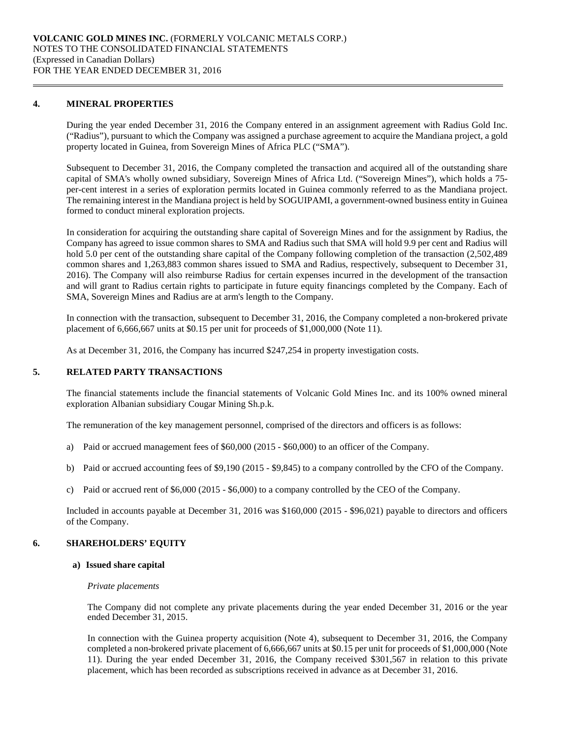### **4. MINERAL PROPERTIES**

During the year ended December 31, 2016 the Company entered in an assignment agreement with Radius Gold Inc. ("Radius"), pursuant to which the Company was assigned a purchase agreement to acquire the Mandiana project, a gold property located in Guinea, from Sovereign Mines of Africa PLC ("SMA").

Subsequent to December 31, 2016, the Company completed the transaction and acquired all of the outstanding share capital of SMA's wholly owned subsidiary, Sovereign Mines of Africa Ltd. ("Sovereign Mines"), which holds a 75 per-cent interest in a series of exploration permits located in Guinea commonly referred to as the Mandiana project. The remaining interest in the Mandiana project is held by SOGUIPAMI, a government-owned business entity in Guinea formed to conduct mineral exploration projects.

In consideration for acquiring the outstanding share capital of Sovereign Mines and for the assignment by Radius, the Company has agreed to issue common shares to SMA and Radius such that SMA will hold 9.9 per cent and Radius will hold 5.0 per cent of the outstanding share capital of the Company following completion of the transaction (2,502,489) common shares and 1,263,883 common shares issued to SMA and Radius, respectively, subsequent to December 31, 2016). The Company will also reimburse Radius for certain expenses incurred in the development of the transaction and will grant to Radius certain rights to participate in future equity financings completed by the Company. Each of SMA, Sovereign Mines and Radius are at arm's length to the Company.

In connection with the transaction, subsequent to December 31, 2016, the Company completed a non-brokered private placement of 6,666,667 units at \$0.15 per unit for proceeds of \$1,000,000 (Note 11).

As at December 31, 2016, the Company has incurred \$247,254 in property investigation costs.

### **5. RELATED PARTY TRANSACTIONS**

The financial statements include the financial statements of Volcanic Gold Mines Inc. and its 100% owned mineral exploration Albanian subsidiary Cougar Mining Sh.p.k.

The remuneration of the key management personnel, comprised of the directors and officers is as follows:

- a) Paid or accrued management fees of \$60,000 (2015 \$60,000) to an officer of the Company.
- b) Paid or accrued accounting fees of \$9,190 (2015 \$9,845) to a company controlled by the CFO of the Company.
- c) Paid or accrued rent of \$6,000 (2015 \$6,000) to a company controlled by the CEO of the Company.

Included in accounts payable at December 31, 2016 was \$160,000 (2015 - \$96,021) payable to directors and officers of the Company.

### **6. SHAREHOLDERS' EQUITY**

#### **a) Issued share capital**

#### *Private placements*

The Company did not complete any private placements during the year ended December 31, 2016 or the year ended December 31, 2015.

In connection with the Guinea property acquisition (Note 4), subsequent to December 31, 2016, the Company completed a non-brokered private placement of 6,666,667 units at \$0.15 per unit for proceeds of \$1,000,000 (Note 11). During the year ended December 31, 2016, the Company received \$301,567 in relation to this private placement, which has been recorded as subscriptions received in advance as at December 31, 2016.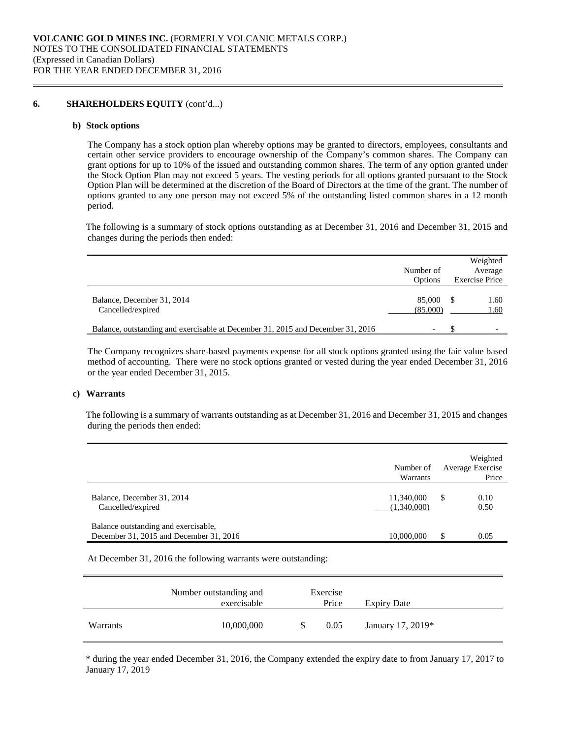#### **6. SHAREHOLDERS EQUITY** (cont'd...)

#### **b) Stock options**

The Company has a stock option plan whereby options may be granted to directors, employees, consultants and certain other service providers to encourage ownership of the Company's common shares. The Company can grant options for up to 10% of the issued and outstanding common shares. The term of any option granted under the Stock Option Plan may not exceed 5 years. The vesting periods for all options granted pursuant to the Stock Option Plan will be determined at the discretion of the Board of Directors at the time of the grant. The number of options granted to any one person may not exceed 5% of the outstanding listed common shares in a 12 month period.

The following is a summary of stock options outstanding as at December 31, 2016 and December 31, 2015 and changes during the periods then ended:

|                                                                                 | Number of<br>Options     | Weighted<br>Average<br><b>Exercise Price</b> |
|---------------------------------------------------------------------------------|--------------------------|----------------------------------------------|
| Balance, December 31, 2014<br>Cancelled/expired                                 | 85,000<br>(85,000)       | 1.60<br>1.60                                 |
| Balance, outstanding and exercisable at December 31, 2015 and December 31, 2016 | $\overline{\phantom{0}}$ |                                              |

The Company recognizes share-based payments expense for all stock options granted using the fair value based method of accounting. There were no stock options granted or vested during the year ended December 31, 2016 or the year ended December 31, 2015.

### **c) Warrants**

The following is a summary of warrants outstanding as at December 31, 2016 and December 31, 2015 and changes during the periods then ended:

|                                                                                 | Number of<br>Warrants     | Weighted<br>Average Exercise<br>Price |
|---------------------------------------------------------------------------------|---------------------------|---------------------------------------|
| Balance, December 31, 2014<br>Cancelled/expired                                 | 11,340,000<br>(1,340,000) | 0.10<br>S<br>0.50                     |
| Balance outstanding and exercisable,<br>December 31, 2015 and December 31, 2016 | 10,000,000                | \$<br>0.05                            |

At December 31, 2016 the following warrants were outstanding:

|          | Number outstanding and<br>exercisable | Exercise<br>Price | <b>Expiry Date</b> |
|----------|---------------------------------------|-------------------|--------------------|
| Warrants | 10,000,000                            | 0.05              | January 17, 2019*  |

\* during the year ended December 31, 2016, the Company extended the expiry date to from January 17, 2017 to January 17, 2019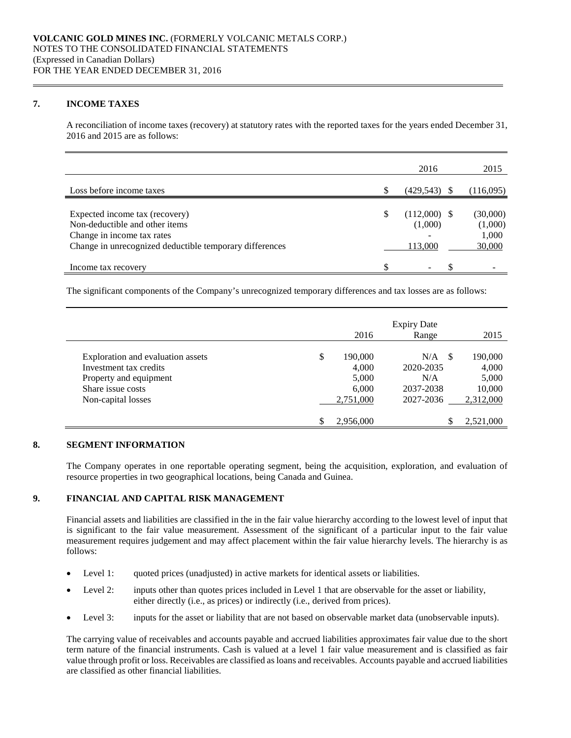### **7. INCOME TAXES**

A reconciliation of income taxes (recovery) at statutory rates with the reported taxes for the years ended December 31, 2016 and 2015 are as follows:

|                                                                                                                                                           |     | 2016                                 | 2015                                   |
|-----------------------------------------------------------------------------------------------------------------------------------------------------------|-----|--------------------------------------|----------------------------------------|
| Loss before income taxes                                                                                                                                  | \$. | (429, 543)                           | (116,095)                              |
| Expected income tax (recovery)<br>Non-deductible and other items<br>Change in income tax rates<br>Change in unrecognized deductible temporary differences | S   | $(112,000)$ \$<br>(1,000)<br>113,000 | (30,000)<br>(1,000)<br>1,000<br>30,000 |
| Income tax recovery                                                                                                                                       | \$  | $\overline{\phantom{0}}$             |                                        |

The significant components of the Company's unrecognized temporary differences and tax losses are as follows:

|                                   |               | <b>Expiry Date</b> |           |
|-----------------------------------|---------------|--------------------|-----------|
|                                   | 2016          | Range              | 2015      |
| Exploration and evaluation assets | \$<br>190,000 | N/A<br>-S          | 190,000   |
| Investment tax credits            | 4,000         | 2020-2035          | 4,000     |
| Property and equipment            | 5,000         | N/A                | 5,000     |
| Share issue costs                 | 6,000         | 2037-2038          | 10,000    |
| Non-capital losses                | 2,751,000     | 2027-2036          | 2,312,000 |
|                                   | 2,956,000     |                    | 2,521,000 |

# **8. SEGMENT INFORMATION**

The Company operates in one reportable operating segment, being the acquisition, exploration, and evaluation of resource properties in two geographical locations, being Canada and Guinea.

### **9. FINANCIAL AND CAPITAL RISK MANAGEMENT**

Financial assets and liabilities are classified in the in the fair value hierarchy according to the lowest level of input that is significant to the fair value measurement. Assessment of the significant of a particular input to the fair value measurement requires judgement and may affect placement within the fair value hierarchy levels. The hierarchy is as follows:

- Level 1: quoted prices (unadjusted) in active markets for identical assets or liabilities.
- Level 2: inputs other than quotes prices included in Level 1 that are observable for the asset or liability, either directly (i.e., as prices) or indirectly (i.e., derived from prices).
- Level 3: inputs for the asset or liability that are not based on observable market data (unobservable inputs).

The carrying value of receivables and accounts payable and accrued liabilities approximates fair value due to the short term nature of the financial instruments. Cash is valued at a level 1 fair value measurement and is classified as fair value through profit or loss. Receivables are classified as loans and receivables. Accounts payable and accrued liabilities are classified as other financial liabilities.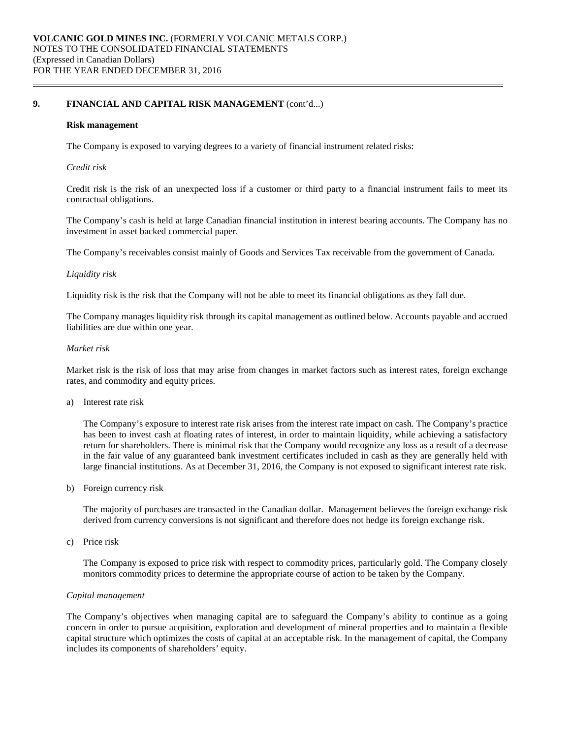## **9. FINANCIAL AND CAPITAL RISK MANAGEMENT** (cont'd...)

#### **Risk management**

The Company is exposed to varying degrees to a variety of financial instrument related risks:

#### *Credit risk*

Credit risk is the risk of an unexpected loss if a customer or third party to a financial instrument fails to meet its contractual obligations.

The Company's cash is held at large Canadian financial institution in interest bearing accounts. The Company has no investment in asset backed commercial paper.

The Company's receivables consist mainly of Goods and Services Tax receivable from the government of Canada.

#### *Liquidity risk*

Liquidity risk is the risk that the Company will not be able to meet its financial obligations as they fall due.

The Company manages liquidity risk through its capital management as outlined below. Accounts payable and accrued liabilities are due within one year.

#### *Market risk*

Market risk is the risk of loss that may arise from changes in market factors such as interest rates, foreign exchange rates, and commodity and equity prices.

a) Interest rate risk

The Company's exposure to interest rate risk arises from the interest rate impact on cash. The Company's practice has been to invest cash at floating rates of interest, in order to maintain liquidity, while achieving a satisfactory return for shareholders. There is minimal risk that the Company would recognize any loss as a result of a decrease in the fair value of any guaranteed bank investment certificates included in cash as they are generally held with large financial institutions. As at December 31, 2016, the Company is not exposed to significant interest rate risk.

b) Foreign currency risk

The majority of purchases are transacted in the Canadian dollar. Management believes the foreign exchange risk derived from currency conversions is not significant and therefore does not hedge its foreign exchange risk.

c) Price risk

The Company is exposed to price risk with respect to commodity prices, particularly gold. The Company closely monitors commodity prices to determine the appropriate course of action to be taken by the Company.

#### *Capital management*

The Company's objectives when managing capital are to safeguard the Company's ability to continue as a going concern in order to pursue acquisition, exploration and development of mineral properties and to maintain a flexible capital structure which optimizes the costs of capital at an acceptable risk. In the management of capital, the Company includes its components of shareholders' equity.